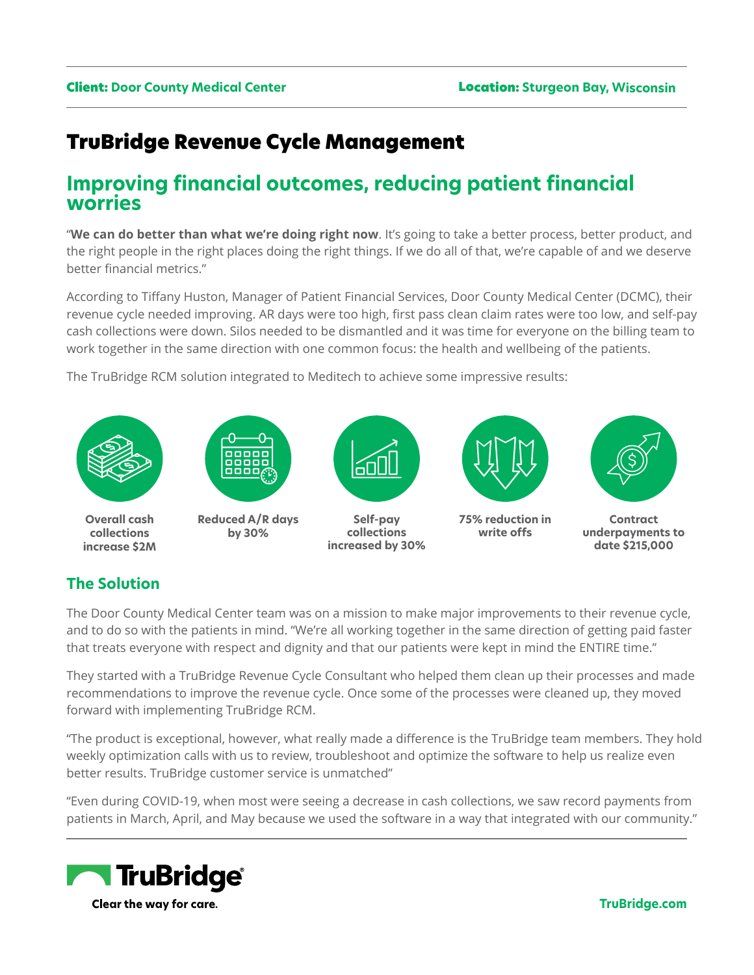# TruBridge Revenue Cycle Management

## **Improving financial outcomes, reducing patient financial worries**

"**We can do better than what we're doing right now**. It's going to take a better process, better product, and the right people in the right places doing the right things. If we do all of that, we're capable of and we deserve better financial metrics."

According to Tiffany Huston, Manager of Patient Financial Services, Door County Medical Center (DCMC), their revenue cycle needed improving. AR days were too high, first pass clean claim rates were too low, and self-pay cash collections were down. Silos needed to be dismantled and it was time for everyone on the billing team to work together in the same direction with one common focus: the health and wellbeing of the patients.

The TruBridge RCM solution integrated to Meditech to achieve some impressive results:



## **The Solution**

The Door County Medical Center team was on a mission to make major improvements to their revenue cycle, and to do so with the patients in mind. "We're all working together in the same direction of getting paid faster that treats everyone with respect and dignity and that our patients were kept in mind the ENTIRE time."

They started with a TruBridge Revenue Cycle Consultant who helped them clean up their processes and made recommendations to improve the revenue cycle. Once some of the processes were cleaned up, they moved forward with implementing TruBridge RCM.

"The product is exceptional, however, what really made a difference is the TruBridge team members. They hold weekly optimization calls with us to review, troubleshoot and optimize the software to help us realize even better results. TruBridge customer service is unmatched"

"Even during COVID-19, when most were seeing a decrease in cash collections, we saw record payments from patients in March, April, and May because we used the software in a way that integrated with our community."



**[TruBridge.com](http://www.trubridge.com)**